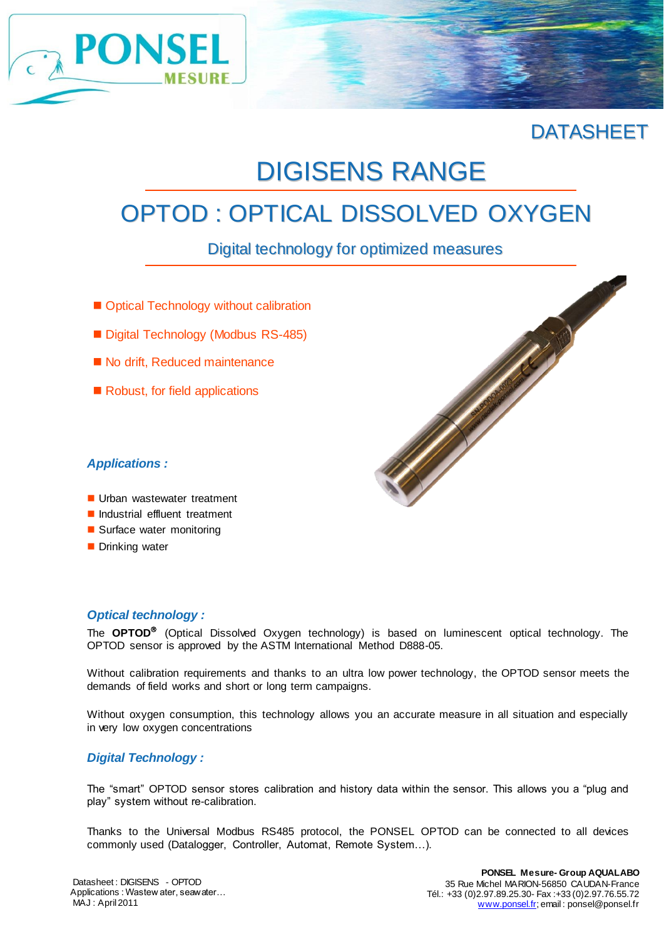

### **DATASHEET**

# DIGISENS RANGE

## OPTOD : OPTICAL DISSOLVED OXYGEN

Digital technology for optimized measures

- Optical Technology without calibration
- Digital Technology (Modbus RS-485)
- No drift, Reduced maintenance
- Robust, for field applications



- Urban wastewater treatment
- Industrial effluent treatment
- Surface water monitoring
- **Drinking water**

#### *Optical technology :*

The **OPTOD** (Optical Dissolved Oxygen technology) is based on luminescent optical technology. The OPTOD sensor is approved by the ASTM International Method D888-05.

Without calibration requirements and thanks to an ultra low power technology, the OPTOD sensor meets the demands of field works and short or long term campaigns.

Without oxygen consumption, this technology allows you an accurate measure in all situation and especially in very low oxygen concentrations

#### *Digital Technology :*

The "smart" OPTOD sensor stores calibration and history data within the sensor. This allows you a "plug and play" system without re-calibration.

Thanks to the Universal Modbus RS485 protocol, the PONSEL OPTOD can be connected to all devices commonly used (Datalogger, Controller, Automat, Remote System…).